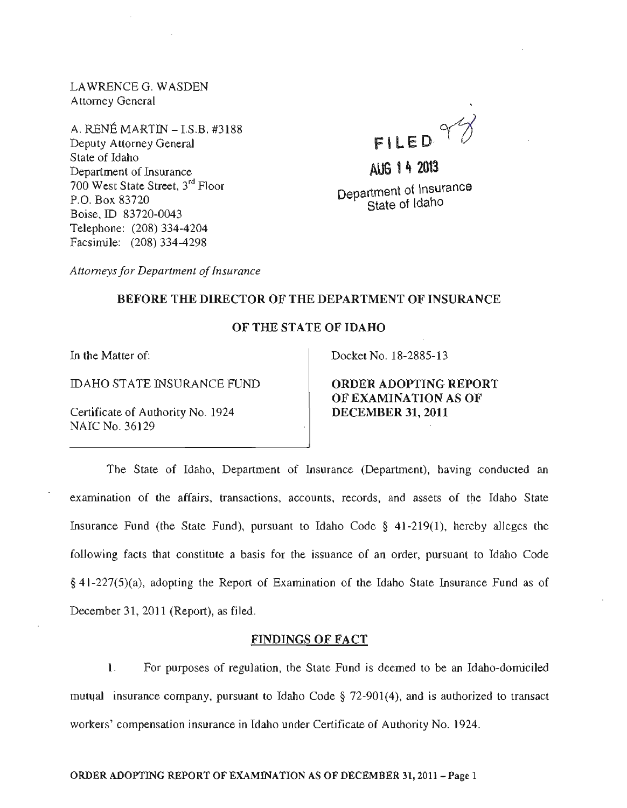LAWRENCEG. WASDEN Attorney General

A. RENE MARTIN - 1.S.B. #3188 Deputy Attorney General State of Idaho Department of Insurance 700 West State Street, 3rd Floor P.O. Box 83720 Boise, ID 83720-0043 Telephone: (208) 334-4204 Facsimile: (208) 334-4298

FILED ~

AUG 1 4 2013 Department of Insurance State of Idaho

*Attorneys for Department of Insurance* 

#### BEFORE THE DIRECTOR OF THE DEPARTMENT OF INSURANCE

#### OF THE STATE OF IDAHO

In the Matter of:

IDAHO STATE INSURANCE FUND

Certificate of Authority No. 1924 NAIC No. 36129

Docket No. 18-2885-13

ORDER ADOPTING REPORT OF EXAMINATION AS OF DECEMBER 31, 2011

The State of Idaho, Department of Insurance (Department), having conducted an examination of the affairs, transactions, accounts, records, and assets of the Idaho State Insurance Fund (the State Fund), pursuant to Idaho Code § 41-219(1), hereby alleges the following facts that constitute a basis for the issuance of an order, pursuant to Idaho Code § 41-227(5)(a), adopting the Report of Examination of the Idaho State Insurance Fund as of December 31, 2011 (Report), as filed.

#### FINDINGS OF FACT

1. For purposes of regulation, the State Fund is deemed to be an Idaho-domiciled mutual insurance company, pursuant to Idaho Code  $\S$  72-901(4), and is authorized to transact workers' compensation insurance in Idaho under Certificate of Authority No. 1924.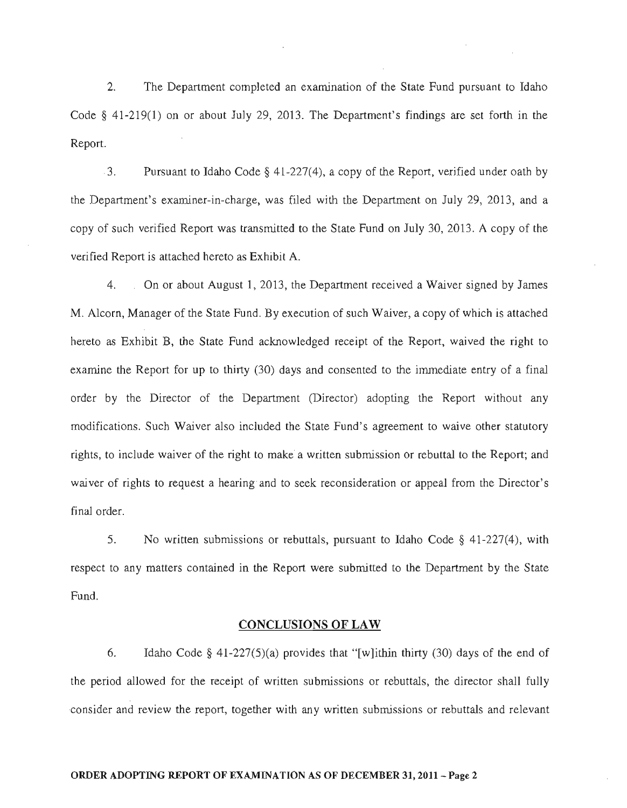2. The Department completed an examination of the State Fund pursuant to Idaho Code § 41-219(1) on or about July 29, 2013. The Department's findings are set forth in the Report.

 $-3.$  Pursuant to Idaho Code § 41-227(4), a copy of the Report, verified under oath by the Department's examiner-in-charge, was filed with the Department on July 29, 2013, and a copy of such verified Report was transmitted to the State Fund on July 30, 2013. A copy of the verified Report *is* attached hereto as Exhibit A.

4. On or about August 1,2013, the Department received a Waiver signed by James M. Alcorn, Manager of the State Fund. By execution of such Waiver, a copy of which is attached hereto as Exhibit B, the State Fund acknowledged receipt of the Report, waived the right to examine the Report for up to thirty (30) days and consented to the inunediate entry of a final order by the Director of the Department (Director) adopting the Report without any modifications. Such Waiver also included the State Fund's agreement to *waive* other statutory rights, to include waiver of the right to make' a written submission or rebuttal to the Report; and waiver of rights to request a hearing and to seek reconsideration or appeal from the Director's final order.

5. No written submissions or rebuttals, pursuant to Idaho Code § 41-227(4), with respect to any matters contained in the Report were submitted to the Department by the State Fund.

#### CONCLUSIONS OF LAW

6. Idaho Code  $\S$  41-227(5)(a) provides that "[w]ithin thirty (30) days of the end of the period allowed for the receipt of written submissions or rebuttals, the director shall fully ,consider and review the report, together with any written submissions or rebuttals and relevant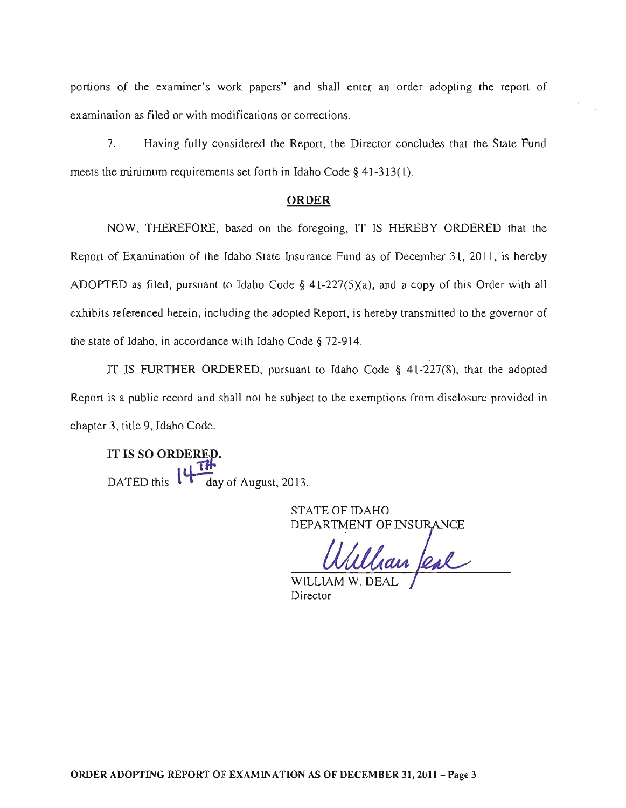portions of the examiner's work papers" and shall enter an order adopting the report of examination as filed or with modifications or corrections.

7. Having fully considered the Report, the Director concludes that the State Fund meets the minimum requirements set forth in Idaho Code § 41-313(1).

#### ORDER

NOW, THEREFORE. based on the foregoing, IT IS HEREBY ORDERED that the Report of Examination of the Idaho State Insurance Fund as of December 31, 2011, is hereby ADOPTED as filed, pursuant to Idaho Code  $\S$  41-227(5)(a), and a copy of this Order with all exhibits referenced herein, including the adopted Report, is hereby transmitted to the governor of the state of Idaho, in accordance with Idaho Code § 72-914.

IT IS FURTHER ORDERED, pursuant to Idaho Code  $\S$  41-227(8), that the adopted Report is a public record and shall not be subject to the exemptions from disclosure provided in chapter 3, title 9, Idaho Code.

IT IS SO ORDERED. DATED this  $\sqrt{1-\frac{1}{2}}$  day of August, 2013.

> STATE OF IDAHO DEPARTMENT OF INSURANCE

han feal

WILLIAM W. DE Director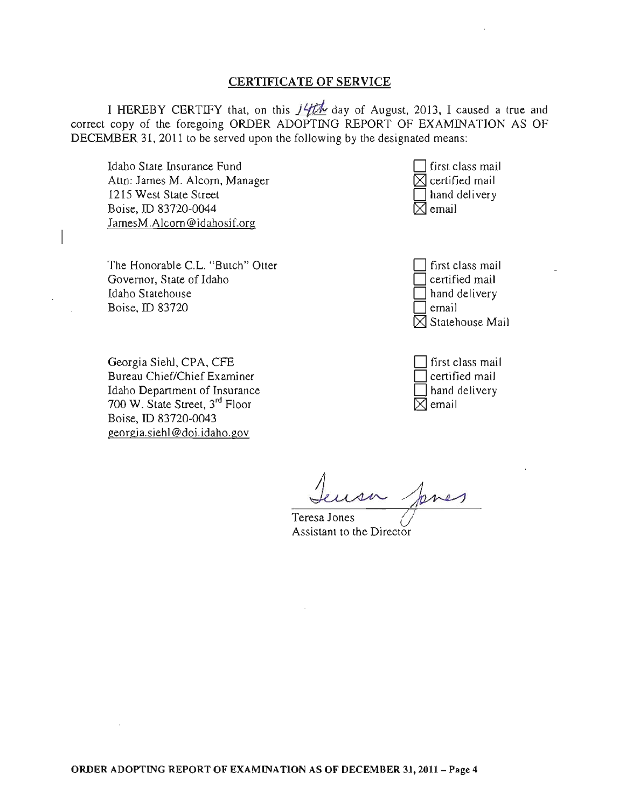#### CERTIFICATE OF SERVICE

I HEREBY CERTIFY that, on this  $14th$  day of August, 2013, I caused a true and correct copy of the foregoing ORDER ADOPTING REPORT OF EXAMJNATION AS OF DECEMBER 31, 2011 to be served upon the following by the designated means:

Idaho State Insurance Fund Attn: James M. Alcorn, Manager 1215 West State Street Boise, TO 83720-0044 JamesM.Alcorn@idahosif.org

The Honorable C.L. "Butch" Otter Governor, State of Idaho Idaho Statehouse Boise, ID 83720

Georgia Siehl, CPA, CFE Bureau Chief/Chief Examiner Idaho Department of Insurance 700 W. State Street, 3rd Floor Boise, ID 83720-0043 georgia.siehl@doi.idaho.gov

first class mail  $\mathbb J$  certified mail hand delivery  $\mho$  email

D first class mail certified mail hand delivery email  $\boxtimes$  Statehouse Mail

first class mail certified mail hand delivery email

Teresa Jones () Assistant to the Director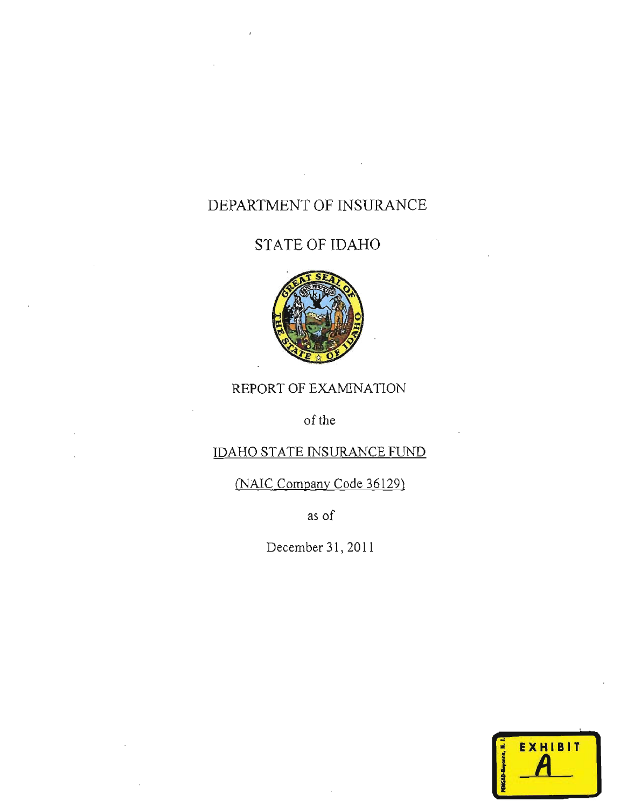# DEPARTMENT OF INSURANCE

# STATE OF IDAHO



## REPORT OF EXAMINATION

of the

### IDAHO STATE INSURANCE FUND

(NAIC Company Code 36129)

as of

December 31, 2011

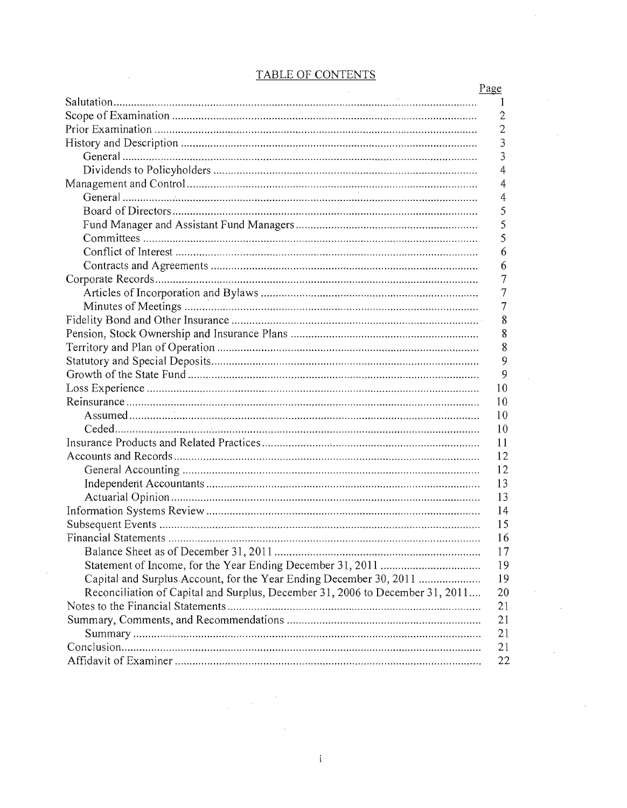|                                                                               | Page         |
|-------------------------------------------------------------------------------|--------------|
|                                                                               | 1            |
|                                                                               | 2            |
|                                                                               | $\mathbf{2}$ |
|                                                                               | 3            |
|                                                                               | 3            |
|                                                                               | 4            |
|                                                                               | 4            |
|                                                                               | 4            |
|                                                                               | 5            |
|                                                                               | 5            |
|                                                                               | 5            |
|                                                                               | 6            |
|                                                                               | 6            |
|                                                                               | 7            |
|                                                                               | 7            |
|                                                                               | 7            |
|                                                                               | 8            |
|                                                                               | 8            |
|                                                                               | 8            |
|                                                                               | 9            |
|                                                                               | 9            |
|                                                                               | 10           |
|                                                                               | 10           |
|                                                                               | 10           |
|                                                                               | 10           |
|                                                                               | 11           |
|                                                                               | 12           |
|                                                                               | 12           |
|                                                                               | 13           |
|                                                                               | 13           |
|                                                                               | 14           |
|                                                                               | 15           |
| <b>Financial Statements</b>                                                   | 16           |
|                                                                               | 17           |
|                                                                               | 19           |
| Capital and Surplus Account, for the Year Ending December 30, 2011            | 19           |
| Reconciliation of Capital and Surplus, December 31, 2006 to December 31, 2011 | 20           |
|                                                                               | 21           |
|                                                                               | 21           |
|                                                                               | 21           |
|                                                                               |              |
|                                                                               | 21           |
|                                                                               | 22           |

# TABLE OF CONTENTS

 $\sim 10^{-1}$ 

 $\alpha$  .

 $\sim$ 

 $\sim$ 

 $\sim$   $\sim$ 

 $\sim$ 

 $\mathcal{L}^{\text{max}}_{\text{max}}$ 

 $\bar{z}$ 

 $\label{eq:2.1} \frac{1}{\sqrt{2\pi}}\int_{\mathbb{R}^3}\frac{1}{\sqrt{2\pi}}\int_{\mathbb{R}^3}\frac{1}{\sqrt{2\pi}}\int_{\mathbb{R}^3}\frac{1}{\sqrt{2\pi}}\int_{\mathbb{R}^3}\frac{1}{\sqrt{2\pi}}\int_{\mathbb{R}^3}\frac{1}{\sqrt{2\pi}}\frac{1}{\sqrt{2\pi}}\int_{\mathbb{R}^3}\frac{1}{\sqrt{2\pi}}\frac{1}{\sqrt{2\pi}}\frac{1}{\sqrt{2\pi}}\frac{1}{\sqrt{2\pi}}\frac{1}{\sqrt{2\pi}}\$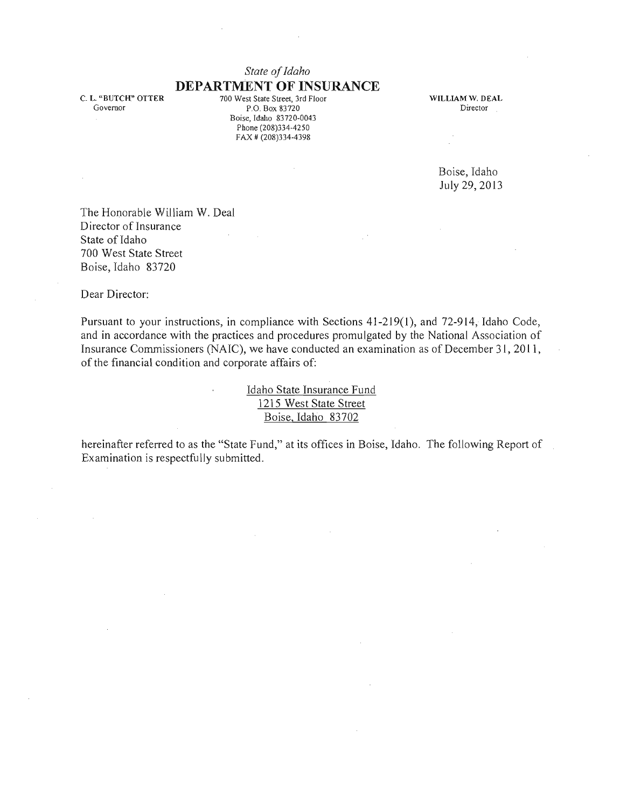### *State of Idaho*  **DEPARTMENT OF INSURANCE**

C. L. "BUTCH" OTTER Governor

700 West State Street, 3rd Floor P.O. Box 83720 Boise, Idaho 83720-0043 Phone (208)334-4250 FAX # (208)334-4398

WILLIAM W. DEAL Director

> Boise, Idaho July 29, 2013

The Honorable William W. Deal Director of Insurance State of Idaho 700 West State Street Boise, Idaho 83720

 $\mathbf{r}$ 

Dear Director:

Pursuant to your instructions, in compliance with Sections 41-219(1), and 72-914, Idaho Code, and in accordance with the practices and procedures promulgated by the National Association of Insurance Commissioners (NAIC), we have conducted an examination as of December 31, 2011, of the financial condition and corporate affairs of:

> Idaho State Insurance Fund 1215 West State Street Boise, Idaho 83702

hereinafter referred to as the "State Fund," at its offices in Boise, Idaho. The following Report of Examination is respectfully submitted.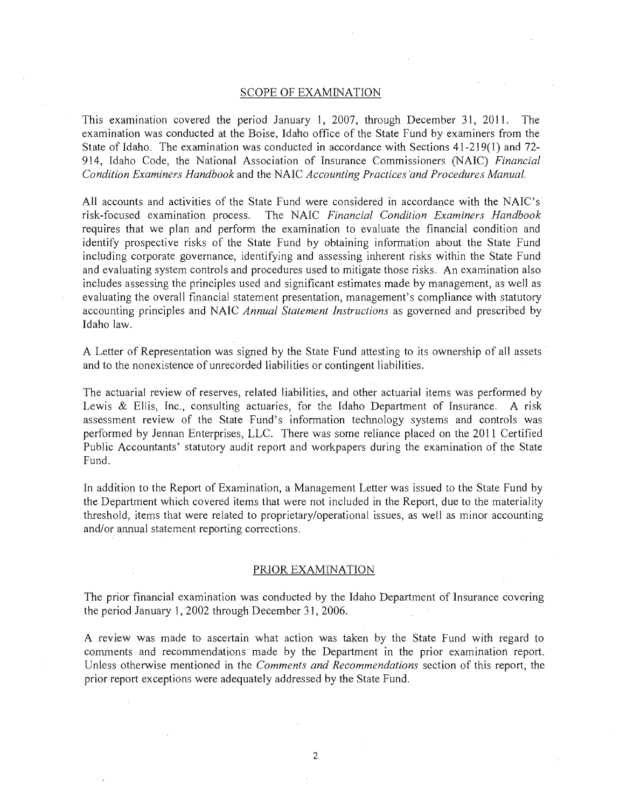#### SCOPE OF EXAMINATION

This examination covered the period January 1, 2007, through December 31, 2011. The examination was conducted at the Boise, Idaho office of the State Fund by examiners from the State of Idaho. The examination was conducted in accordance with Sections 41-219(1) and 72- 914, Idaho Code, the National Association of Insurance Commissioners (NAIC) *Financial Condition Examiners Handbook* and the NAIC *Accounting Practices 'and Procedures Manual.* 

All accounts and activities of the State Fund were considered in accordance with the NAIC's risk-focused examination process, The NAIC *Financial Condition Examiners Handbook*  requires that we plan and perform the examination to evaluate the financial condition and identify prospective risks of the State Fund by obtaining information about the State Fund including corporate governance, identifying and assessing inherent risks within the State Fund and evaluating system controls and procedures used to mitigate those risks. An examination also includes assessing the principles used and significant estimates made by management, as well as evaluating the overall financial statement presentation, management's compliance with statutory accounting principles and NAIC *Annual Statement Instructions* as governed and prescribed by Idaho law.

A Letter of Representation was signed by the State Fund attesting to its ownership of all assets and to the nonexistence of unrecorded liabilities or contingent liabilities.

The actuarial review of reserves, related liabilities, and other actuarial items was performed by Lewis & Ellis, Inc., consulting actuaries, for the Idaho Department of Insurance. A risk assessment review of the State Fund's information teclmology systems and controls was performed by Jennan Enterprises, LLC. There was some reliance placed on the 2011 Certified Public Accountants' statutory audit report and workpapers during the examination of the State Fund.

In addition to the Report of Examination, a Management Letter was issued to the State Fund by the Department which covered items that were not included in the Report, due to the materiality threshold, items that were related to proprietary/operational issues, as well as minor accounting and/or annual statement reporting corrections.

#### PRIOR EXAMINATION

The prior financial examination was conducted by the Idaho Department of Insurance covering the period January 1,2002 through December 31, 2006.

A review was made to ascertain what action was taken by the State Fund with regard to comments and recommendations made by the Department in the prior examination report. Unless otherwise mentioned in the *Comments and Recommendations* section of this report, the prior report exceptions were adequately addressed by the State Fund.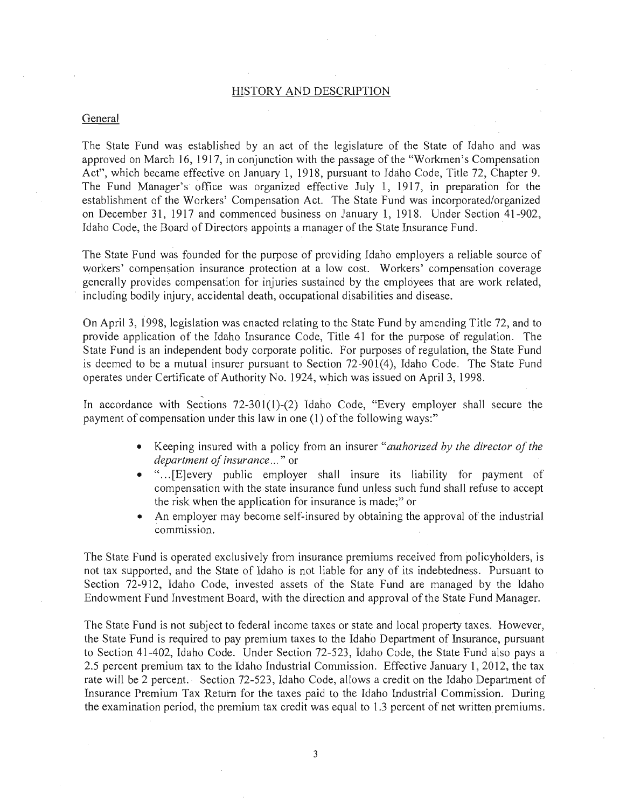#### HISTORY AND DESCRIPTION

#### General

The State Fund was established by an act of the legislature of the State of Idaho and was approved on March 16, 1917, in conjunction with the passage of the "Workmen's Compensation Act", which became effective on January 1, 1918, pursuant to Idaho Code, Title 72, Chapter 9. The Fund Manager's office was organized effective July 1, 1917, in preparation for the establishment of the Workers' Compensation Act. The State Fund was incorporated/organized on December 31, 1917 and commenced business on January 1, 1918. Under Section 41-902, Idaho Code, the Board of Directors appoints a manager of the State Insurance Fund.

The State Fund was founded for the purpose of providing Idaho employers a reliable source of workers' compensation insurance protection at a low cost. Workers' compensation coverage generally provides compensation for injuries sustained by the employees that are work related, including bodily injury, accidental death, occupational disabilities and disease.

On April 3, 1998, legislation was enacted relating to the State Fund by amending Title 72, and to provide application of the Idaho Insurance Code, Title 41 for the purpose of regulation. The State Fund is an independent body corporate politic. For purposes of regulation, the State Fund is deemed to be a mutual insurer pursuant to Section 72-901(4), Idaho Code. The State Fund operates under Certificate of Authority No. 1924, which was issued on April 3, 1998.

In accordance with Sections 72-301(1)-(2) Idaho Code, "Every employer shall secure the payment of compensation under this law in one (1) of the following ways:"

- Keeping insured with a policy from an insurer *"authorized by the director of the department of insurance ...* " or
- " ... [E]every public employer shall insure its liability for payment of compensation with the state insurance fund unless such fund shall refuse to accept the risk when the application for insurance is made;" or
- An employer may become self-insured by obtaining the approval of the industrial commission.

The State Fund is operated exclusively from insurance premiums received from policyholders, is not tax supported, and the State of Idaho is not liable for any of its indebtedness. Pursuant to Section 72-912, Idaho Code, invested assets of the State Fund are managed by the Idaho Endowment Fund Investment Board, with the direction and approval of the State Fund Manager.

The State Fund is not subject to federal income taxes or state and local property taxes. However, the State Fund is required to pay premium taxes to the Idaho Department of Insurance, pursuant to Section 41-402, Idaho Code. Under Section 72-523, Idaho Code, the State Fund also pays a 2.5 percent premium tax to the Idaho Industrial Commission. Effective January 1, 2012, the tax rate will be 2 percent. Section 72-523, Idaho Code, allows a credit on the Idaho Department of Insurance Premium Tax Return for the taxes paid to the Idaho Industrial Commission. During the examination period, the premium tax credit was equal to 1.3 percent of net written premiums.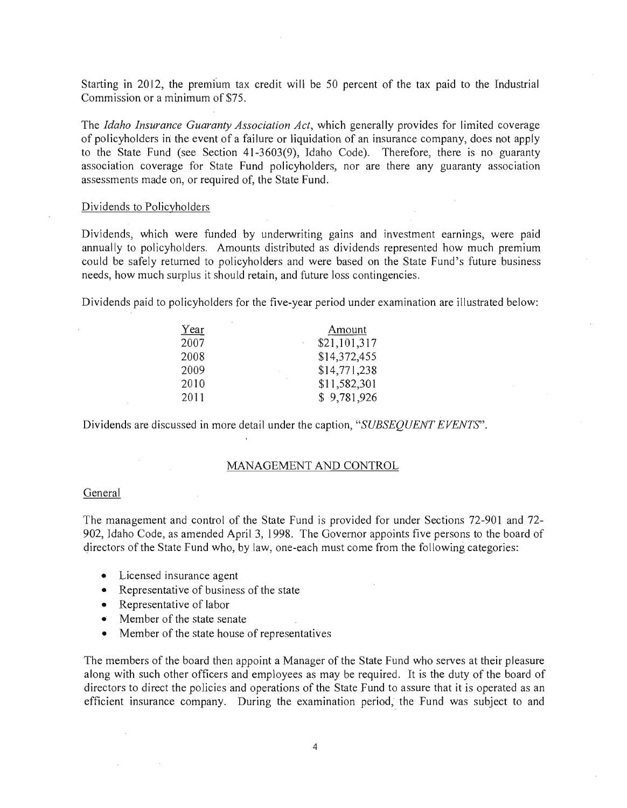Starting in 2012, the premium tax credit will be 50 percent of the tax paid to the Industrial Commission or a minimum of \$75.

The *Idaho Insurance Guaranty Association Act,* which generally provides for limited coverage of policyholders in: the event of a failure or liquidation of an insurance company, does not apply to the State Fund (see Section 41-3603(9), Idaho Code). Therefore, there is no guaranty association coverage for State Fund policyholders, nor are there any guaranty association assessments made on, or required of, the State Fund.

#### Dividends to Policyholders

Dividends, which were funded by underwriting gains and investment earnings, were paid annually to policyholders. Amounts distributed as dividends represented how much premium could be safely returned to policyholders and were based on the State Fund's future business needs, how much surplus it should retain, and future loss contingencies.

Dividends paid to policyholders for the five-year period under examination are illustrated below:

| Year | Amount       |
|------|--------------|
| 2007 | \$21,101,317 |
| 2008 | \$14,372,455 |
| 2009 | \$14,771,238 |
| 2010 | \$11,582,301 |
| 2011 | \$9,781,926  |

Dividends are discussed in more detail under the caption, *"SUBSEQUENT EVENTS".* 

#### MANAGEMENT AND CONTROL

#### General

The management and control of the State Fund is provided for under Sections 72-901 and 72- 902, Idaho Code, as amended April 3, 1998. The Governor appoints five persons to the board of directors of the State Fund who, by law, one-each must come from the following categories:

- Licensed insurance agent
- Representative of business of the state
- Representative of labor
- Member of the state senate
- Member of the state house of representatives

The members of the board then appoint a Manager of the State Fund who serves at their pleasure along with such other officers and employees as may be required. It is the duty of the board of directors to direct the policies and operations of the State Fund to assure that it is operated as an efficient insurance company. During the examination period, the Fund was subject to and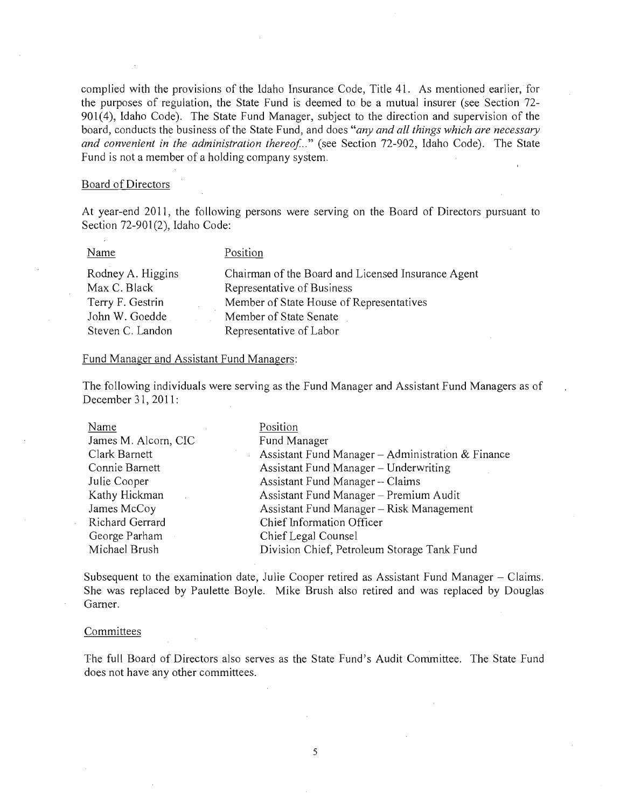complied with the provisions of the Idaho Insurance Code, Title 41. As mentioned earlier, for the purposes of regulation, the State Fund is deemed to be a mutual insurer (see Section 72- 901(4), Idaho Code). The State Fund Manager, subject to the direction and supervision of the board, conducts the business of the State Fund, and does *"any and all things which are necessary*  and convenient in the administration thereof..." (see Section 72-902, Idaho Code). The State Fund is not a member of a holding company system.

#### Board of Directors

At year-end 2011, the following persons were serving on the Board of Directors pursuant to Section 72-901(2), Idaho Code:

#### Name

#### Position

| Rodney A. Higgins | Chairman of the Board and Licensed Insurance Agent |
|-------------------|----------------------------------------------------|
| Max C. Black      | Representative of Business                         |
| Terry F. Gestrin  | Member of State House of Representatives           |
| John W. Goedde    | Member of State Senate                             |
| Steven C. Landon  | Representative of Labor                            |

#### Fund Manager and Assistant Fund Managers:

The following individuals were serving as the Fund Manager and Assistant Fund Managers as of December 31, 2011:

| Name                 | Position                                          |
|----------------------|---------------------------------------------------|
| James M. Alcorn, CIC | Fund Manager                                      |
| Clark Barnett        | Assistant Fund Manager - Administration & Finance |
| Connie Barnett       | Assistant Fund Manager - Underwriting             |
| Julie Cooper         | Assistant Fund Manager - Claims                   |
| Kathy Hickman        | Assistant Fund Manager - Premium Audit            |
| James McCoy          | Assistant Fund Manager - Risk Management          |
| Richard Gerrard      | Chief Information Officer                         |
| George Parham        | Chief Legal Counsel                               |
| Michael Brush        | Division Chief, Petroleum Storage Tank Fund       |

Subsequent to the examination date, Julie Cooper retired as Assistant Fund Manager – Claims. She was replaced by Paulette Boyle. Mike Brush also retired and was replaced by Douglas Garner.

#### Committees

The full Board of Directors also serves as the State Fund's Audit Committee. The State Fund does not have any other committees.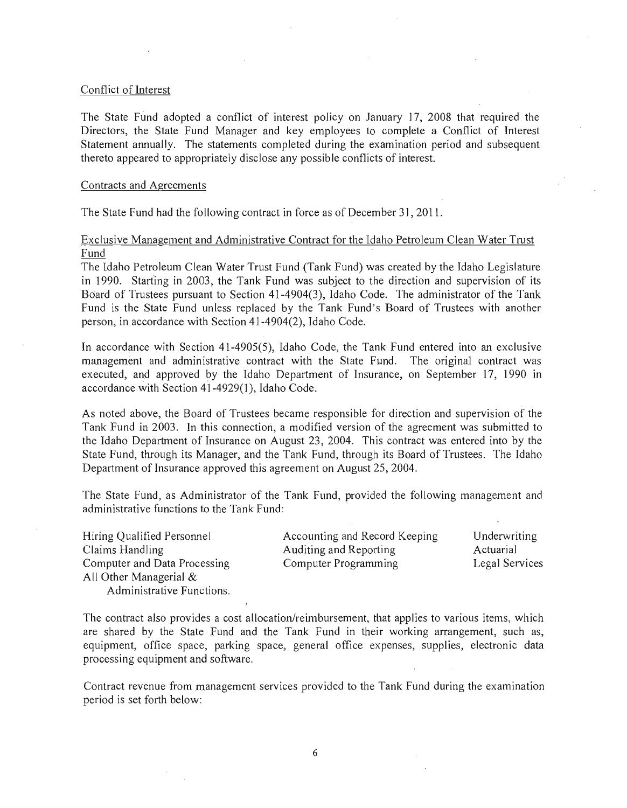#### Conflict of Interest

The State Fund adopted a conflict of interest policy on January 17, 2008 that required the Directors, the State Fund Manager and key employees to complete a Conflict of Interest Statement annually. The statements completed during the examination period and subsequent thereto appeared to appropriately disclose any possible conflicts of interest.

#### Contracts and Agreements

The State Fund had the following contract in force as of December 31, 2011.

#### Exclusive Management and Administrative Contract for the Idaho Petroleum Clean Water Trust Fund

The Idaho Petroleum Clean Water Trust Fund (Tank Fund) was created by the Idaho Legislature in 1990. Starting in 2003, the Tank Fund was subject to the direction and supervision of its Board of Trustees pursuant to Section 41-4904(3), Idaho Code. The administrator of the Tank Fund is the State Fund unless replaced by the Tank Fund's Board of Trustees with another person, in accordance with Section 41-4904(2), Idaho Code.

In accordance with Section 41-4905(5), Idaho Code, the Tank Fund entered into an exclusive management and administrative contract with the State Fund. The original contract was executed, and approved by the Idaho Department of Insurance, on September 17, 1990 in accordance with Section 41-4929(1), Idaho Code.

As noted above, the Board of Trustees became responsible for direction and supervision of the Tank Fund in 2003. In this connection, a modified version of the agreement was submitted to the Idaho Department of Insurance on August 23, 2004. This contract was entered into by the State Fund, through its Manager, and the Tank Fund, through its Board of Trustees. The Idaho Department of Insurance approved this agreement on August 25,2004.

The State Fund, as Administrator of the Tank Fund, provided the following management and administrative functions to the Tank Fund:

| Hiring Qualified Personnel   | Accounting and Record Keeping | Underwriting   |
|------------------------------|-------------------------------|----------------|
| Claims Handling              | Auditing and Reporting        | Actuarial      |
| Computer and Data Processing | Computer Programming          | Legal Services |
| All Other Managerial $\&$    |                               |                |
| Administrative Functions.    |                               |                |

The contract also provides a cost allocation/reimbursement, that applies to various items, which are shared by the State Fund and the Tank Fund in their working arrangement, such as, equipment, office space, parking space, general office expenses, supplies, electronic data processing equipment and software.

Contract revenue from management services provided to the Tank Fund during the examination period is set forth below: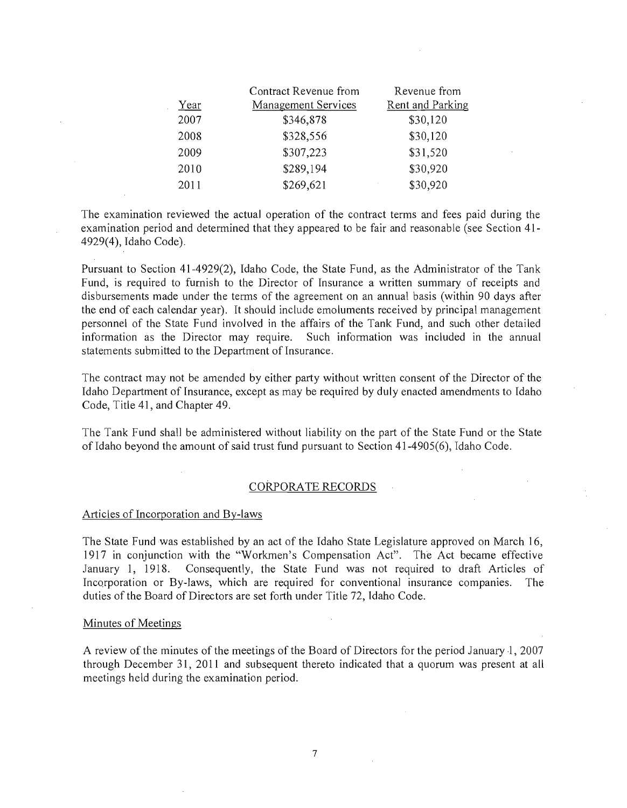|      | Contract Revenue from      | Revenue from     |
|------|----------------------------|------------------|
| Year | <b>Management Services</b> | Rent and Parking |
| 2007 | \$346,878                  | \$30,120         |
| 2008 | \$328,556                  | \$30,120         |
| 2009 | \$307,223                  | \$31,520         |
| 2010 | \$289,194                  | \$30,920         |
| 2011 | \$269,621                  | \$30,920         |

The examination reviewed the actual operation of the contract terms and fees paid during the examination period and determined that they appeared to be fair and reasonable (see Section 41- 4929(4), Idaho Code).

Pursuant to Section 41-4929(2), Idaho Code, the State Fund, as the Administrator of the Tank Fund, is required to furnish to the Director of Insurance a written summary of receipts and disbursements made under the terms of the agreement on an annual basis (within 90 days after the end of each calendar year). It should include emoluments received by principal management personnel of the State Fund involved in the affairs of the Tank Fund, and such other detailed information as the Director may require. Such information was included in the annual statements submitted to the Department of Insurance.

The contract may not be amended by either party without written consent of the Director of the Idaho Department of Insurance, except as may be required by duly enacted amendments to Idaho Code, Title 41, and Chapter 49.

The Tank Fund shall be administered without liability on the part of the State Fund or the State of Idaho beyond the amount of said trust fund pursuant to Section 41-4905(6), Idaho Code.

#### CORPORATE RECORDS

#### Articles of Incorporation and By-laws

The State Fund was established by an act of the Idaho State Legislature approved on March 16, 1917 in conjunction with the "Workmen's Compensation Act". The Act became effective January 1, 1918. Consequently, the State Fund was not required to draft Articles of Incorporation or By-laws, which are required for conventional insurance companies. The duties of the Board of Directors are set forth under Title 72, Idaho Code.

#### Minutes of Meetings

A review of the minutes of the meetings of the Board of Directors for the period January 1, 2007 through December 31, 2011 and subsequent thereto indicated that a quorum was present at all meetings held during the examination period.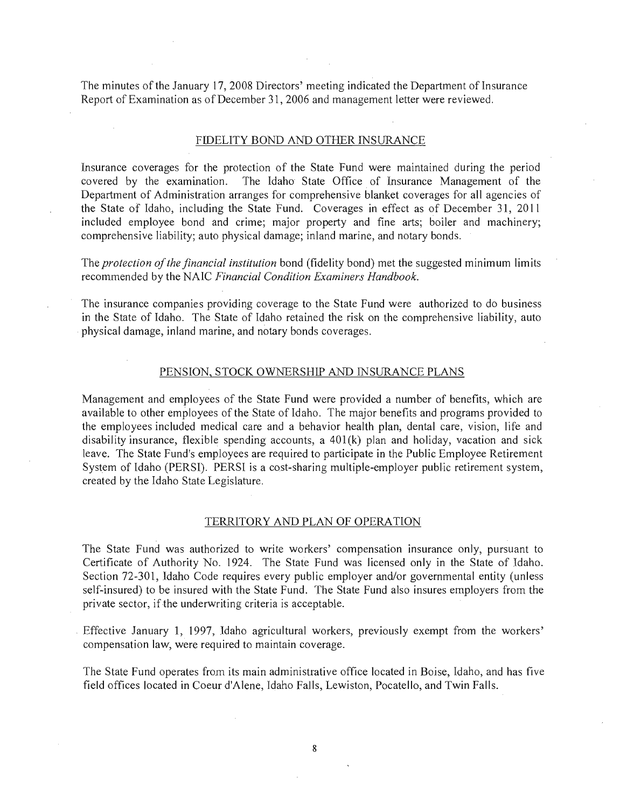The minutes of the January 17, 2008 Directors' meeting indicated the Department of Insurance Report of Examination as of December 31, 2006 and management letter were reviewed.

#### FIDELITY BOND AND OTHER INSURANCE

Insurance coverages for the protection of the State Fund were maintained during the period covered by the examination. The Idaho State Office of Insurance Management of the Department of Administration arranges for comprehensive blanket coverages for all agencies of the State of Idaho, including the State Fund. Coverages in effect as of December 31, 2011 included employee bond and crime; major property and fine arts; boiler and machinery; comprehensive liability; auto physical damage; inland marine, and notary bonds.

The *protection of the financial institution* bond (fidelity bond) met the suggested minimum limits recommended by the NAIC *Financial Condition Examiners Handbook.* 

The insurance companies providing coverage to the State Fund were authorized to do business in the State of Idaho. The State of Idaho retained the risk on the comprehensive liability, auto physical damage, inland marine, and notary bonds coverages.

#### PENSION, STOCK OWNERSHIP AND INSURANCE PLANS

Management and employees of the State Fund were provided a number of benefits, which are available to other employees of the State of Idaho. The major benefits and programs provided to the employees included medical care and a behavior health plan, dental care, vision, life and disability insurance, flexible spending accounts, a 401(k) plan and holiday, vacation and sick leave. The State Fund's employees are required to participate in the Public Employee Retirement System of Idaho (PERSI). PERSI is a cost-sharing multiple-employer public retirement system, created by the Idaho State Legislature.

#### TERRITORY AND PLAN OF OPERATION

The State Fund was authorized to write workers' compensation insurance only, pursuant to Certificate of Authority No. 1924. The State Fund was licensed only in the State of Idaho. Section 72-301, Idaho Code requires every public employer and/or governmental entity (unless self-insured) to be insured with the State Fund. The State Fund also insures employers from the private sector, if the underwriting criteria is acceptable.

Effective January 1, 1997, Idaho agricultural workers, previously exempt from the workers' compensation law, were required to maintain coverage.

The State Fund operates from its main administrative office located in Boise, Idaho, and has five field offices located in Coeur d'Alene, Idaho Falls, Lewiston, Pocatello, and Twin Falls.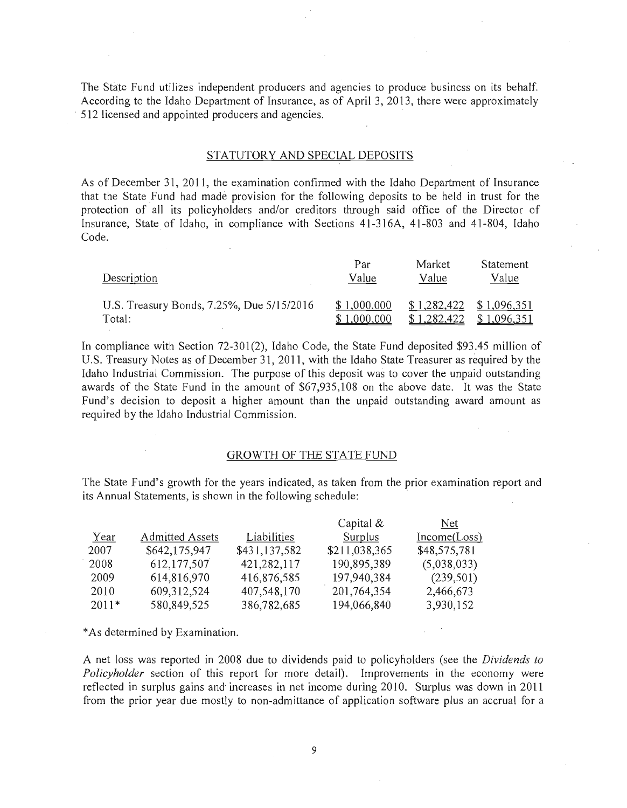The State Fund utilizes independent producers and agencies to produce business on its behalf. According to the Idaho Department of Insurance, as of April 3, 2013, there were approximately 512 licensed and appointed producers and agencies.

#### STATUTORY AND SPECIAL DEPOSITS

As of December 31, 2011, the examination confirmed with the Idaho Department of Insurance that the State Fund had made provision for the following deposits to be held in trust for the protection of all its policyholders and/or creditors through said office of the Director of Insurance, State of Idaho, in compliance with Sections 41-316A, 41-803 and 41-804, Idaho Code.

| Description                               | Par         | Market      | Statement   |
|-------------------------------------------|-------------|-------------|-------------|
|                                           | Value       | Value       | Value       |
| U.S. Treasury Bonds, 7.25%, Due 5/15/2016 | \$1,000,000 | \$1,282,422 | \$1,096,351 |
| Total:                                    | \$1,000,000 | \$1,282,422 | \$1,096,351 |

In compliance with Section 72-301(2), Idaho Code, the State Fund deposited \$93.45 million of U.S. Treasury Notes as of December 31, 2011, with the Idaho State Treasurer as required by the Idaho Industrial Commission. The purpose of this deposit was to cover the unpaid outstanding awards of the State Fund in the amount of \$67,935,108 on the above date. It was the State Fund's decision to deposit a higher amount than the unpaid outstanding award amount as required by the Idaho Industrial Commission.

#### GROWTH OF THE STATE FUND

The State Fund's growth for the years indicated, as taken from the prior examination report and its Annual Statements, is shown in the following schedule: .

|         |                        |               | Capital $\&$  | Net.         |
|---------|------------------------|---------------|---------------|--------------|
| Year    | <b>Admitted Assets</b> | Liabilities   | Surplus       | Income(Loss) |
| 2007    | \$642,175,947          | \$431,137,582 | \$211,038,365 | \$48,575,781 |
| 2008    | 612,177,507            | 421,282,117   | 190,895,389   | (5,038,033)  |
| 2009    | 614,816,970            | 416,876,585   | 197,940,384   | (239,501)    |
| 2010    | 609,312,524            | 407,548,170   | 201,764,354   | 2,466,673    |
| $2011*$ | 580,849,525            | 386,782,685   | 194,066,840   | 3,930,152    |

\* As determined by Examination.

A net loss was reported in 2008 due to dividends paid to policyholders (see the *Dividends to Policyholder* section of this report for more detail). Improvements in the economy were reflected in surplus gains and increases in net income during 2010. Surplus was down in 2011 from the prior year due mostly to non-admittance of application software plus an accrual for a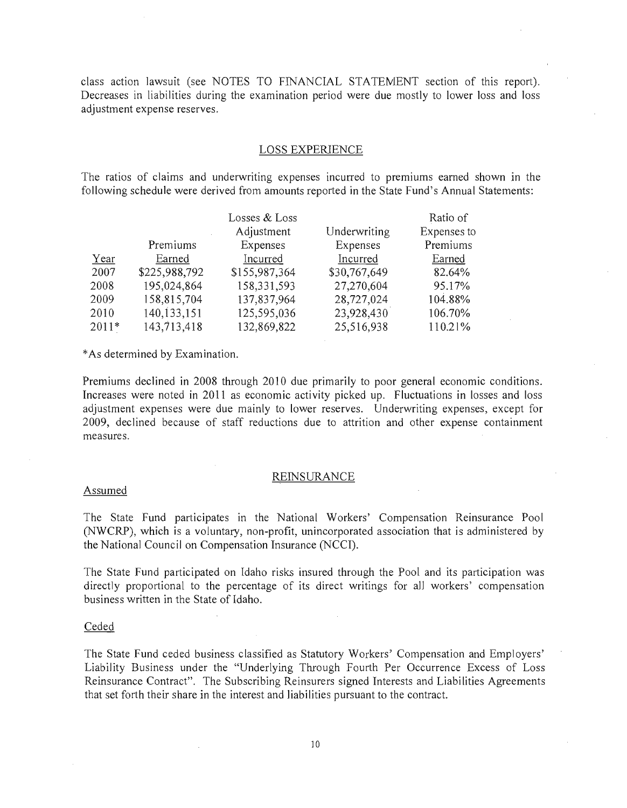class action lawsuit (see NOTES TO FINANCIAL STATEMENT section of this report). Decreases in liabilities during the examination period were due mostly to lower loss and loss adjustment expense reserves.

#### LOSS EXPERIENCE

The ratios of claims and underwriting expenses incurred to premiums earned shown in the following schedule were derived from amounts reported in the State Fund's Annual Statements:

|         |               | Losses & Loss |              | Ratio of    |
|---------|---------------|---------------|--------------|-------------|
|         |               | Adjustment    | Underwriting | Expenses to |
|         | Premiums      | Expenses      | Expenses     | Premiums    |
| Year    | Earned        | Incurred      | Incurred     | Earned      |
| 2007    | \$225,988,792 | \$155,987,364 | \$30,767,649 | 82.64%      |
| 2008    | 195,024,864   | 158,331,593   | 27,270,604   | 95.17%      |
| 2009    | 158,815,704   | 137,837,964   | 28,727,024   | 104.88%     |
| 2010    | 140,133,151   | 125,595,036   | 23,928,430   | 106.70%     |
| $2011*$ | 143,713,418   | 132,869,822   | 25,516,938   | 110.21%     |

\*As determined by Examination.

Premiums declined in 2008 through 2010 due primarily to poor general economic conditions. Increases were noted in 2011 as economic activity picked up. Fluctuations in losses and loss adjustment expenses were due mainly to lower reserves. Underwriting expenses, except for 2009, declined because of staff reductions due to attrition and other expense containment measures.

#### REINSURANCE

#### Assumed

The State Fund participates in the National Workers' Compensation Reinsurance Pool (NWCRP), which is a voluntary, non-profit, unincorporated association that is administered by the National Council on Compensation Insurance (NCCI).

The State Fund participated on Idaho risks insured through the Pool and its participation was directly proportional to the percentage of its direct writings for *all* workers' compensation business written in the State of Idaho.

#### Ceded

The State Fund ceded business classified as Statutory Workers' Compensation and Employers' Liability Business under the "Underlying Through Fourth Per Occurrence Excess of Loss Reinsurance Contract". The Subscribing Reinsurers signed Interests and Liabilities Agreements that set forth their share in the interest and liabilities pursuant to the contract.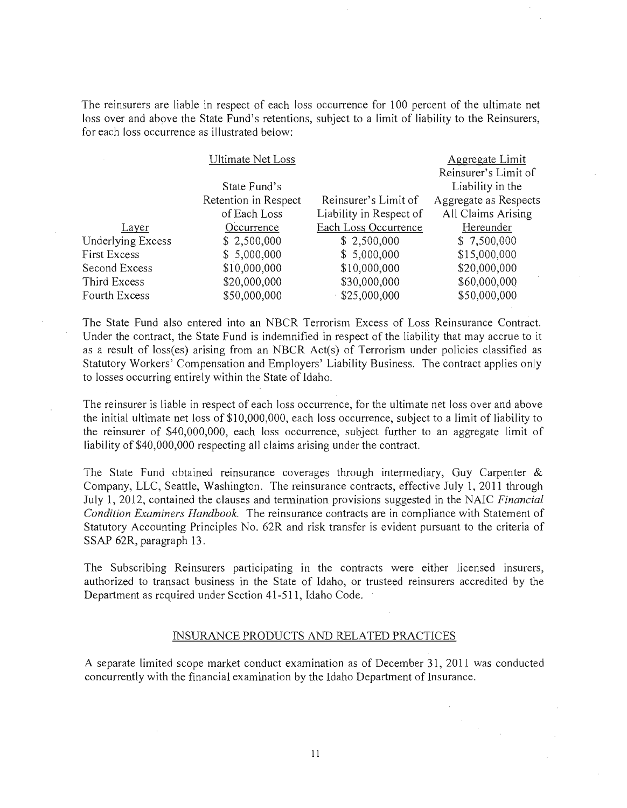The reinsurers are liable in respect of each loss occurrence for 100 percent of the ultimate net loss over and above the State Fund's retentions, subject to a limit of liability to the Reinsurers, for each loss occurrence as illustrated below:

|                   | <b>Ultimate Net Loss</b> |                         | Aggregate Limit       |
|-------------------|--------------------------|-------------------------|-----------------------|
|                   |                          |                         | Reinsurer's Limit of  |
|                   | State Fund's             |                         | Liability in the      |
|                   | Retention in Respect     | Reinsurer's Limit of    | Aggregate as Respects |
|                   | of Each Loss             | Liability in Respect of | All Claims Arising    |
| Layer             | Occurrence               | Each Loss Occurrence    | Hereunder             |
| Underlying Excess | \$2,500,000              | \$2,500,000             | \$7,500,000           |
| First Excess      | \$5,000,000              | \$5,000,000             | \$15,000,000          |
| Second Excess     | \$10,000,000             | \$10,000,000            | \$20,000,000          |
| Third Excess      | \$20,000,000             | \$30,000,000            | \$60,000,000          |
| Fourth Excess     | \$50,000,000             | \$25,000,000            | \$50,000,000          |
|                   |                          |                         |                       |

The State Fund also entered into an NBCR Terrorism Excess of Loss Reinsurance Contract. Under the contract, the State Fund is indemnified in respect of the liability that may accrue to it as a result of loss(es) arising from an NBCR Act(s) of Terrorism under policies classified as Statutory Workers' Compensation and Employers' Liability Business. The contract applies only to losses occurring entirely within the State of Idaho.

The reinsurer is liable in respect of each loss occurrence, for the ultimate net loss over and above the initial ultimate net loss of \$10,000,000, each loss occurrence, subject to a limit of liability to the reinsurer of \$40,000,000, each loss occurrence, subject further to an aggregate limit of liability of \$40,000,000 respecting all claims arising under the contract.

The State Fund obtained reinsurance coverages through intermediary, Guy Carpenter  $\&$ Company, LLC, Seattle, Washington. The reinsurance contracts, effective July 1, 2011 through July 1, 2012, contained the clauses and termination provisions suggested in the NAIC *Financial Condition Examiners Handbook.* The reinsurance contracts are in compliance with Statement of Statutory Accounting Principles No. 62R and risk transfer is evident pursuant to the criteria of SSAP 62R, paragraph 13.

The Subscribing Reinsurers participating in the contracts were either licensed insurers, authorized to transact business in the State of Idaho, or trusteed reinsurers accredited by the Department as required under Section 41-511, Idaho Code.

#### INSURANCE PRODUCTS AND RELATED PRACTICES

A separate limited scope market conduct examination as of December 31, 2011 was conducted concurrently with the financial examination by the Idaho Department of Insurance.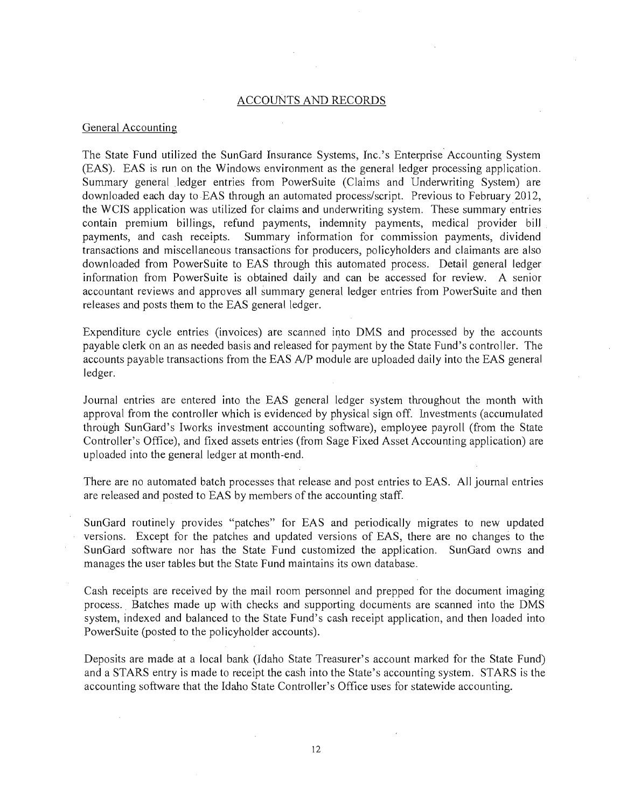#### ACCOUNTS AND RECORDS

#### General Accounting

The State Fund utilized the SunGard Insurance Systems, Inc.'s Enterprise' Accounting System (EAS). EAS is run on the Windows environment as the general ledger processing application, Summary general ledger entries from PowerSuite (Claims and Underwriting System) are downloaded each day to EAS through an automated process/script. Previous to February 2012, the WCIS application was utilized for claims and underwriting system, These summary entries contain premium billings, refund payments, indemnity payments, medical provider bill payments, and cash receipts. Summary information for commission payments, dividend transactions and miscellaneous transactions for producers, po licyholders and claimants are also downloaded from PowerSuite to EAS through this automated process. Detail general ledger information from PowerSuite is obtained daily and can be accessed for review. A senior accountant reviews and approves all summary general ledger entries from PowerSuite and then releases and posts them to the EAS general ledger.

Expenditure cycle entries (invoices) are scanned into DMS and processed by the accounts payable clerk on an as needed basis and released for payment by the State Fund's controller. The accounts payable transactions from the EAS A/P module are uploaded daily into the EAS general ledger.

Journal entries are entered into the EAS general ledger system throughout the month with approval from the controller which is evidenced by physical sign off. Investments (accumulated through SunGard's Iworks investment accounting software), employee payroll (from the State Controller's Office), and fixed assets entries (from Sage Fixed Asset Accounting application) are uploaded into the general ledger at month-end.

There are no automated batch processes that release and post entries to EAS. All journal entries are released and posted to EAS by members of the accounting staff.

SunGard routinely provides "patches" for EAS and periodically migrates to new updated versions. Except for the patches and updated versions of EAS, there are no changes to the SunGard software nor has the State Fund customized the application. SunGard owns and manages the user tables but the State Fund maintains its own database.

Cash receipts are received by the mail room personnel and prepped for the document imaging process. Batches made up with checks and supporting documents are scanned into the DMS system, indexed and balanced to the State Fund's cash receipt application, and then loaded into PowerSuite (posted to the policyholder accounts).

Deposits are made at a local bank (Idaho State Treasurer's account marked for the State Fund) and a STARS entry is made to receipt the cash into the State's accounting system. STARS is the accounting software that the Idaho State Controller's Office uses for statewide accounting.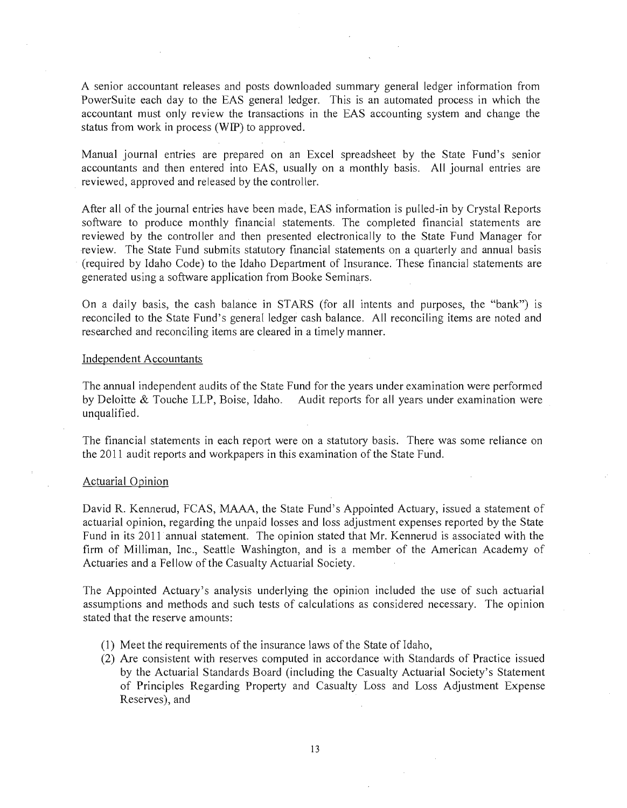A senior accountant releases and posts downloaded summary general ledger information from PowerSuite each day to the EAS general ledger. This is an automated process in which the accountant must only review the transactions in the EAS accounting system and change the status from work in process (WIP) to approved.

Manual journal entries are prepared on an Excel spreadsheet by the State Fund's senior accountants and then entered into EAS, usually on a monthly basis. All journal entries are reviewed, approved and released by the controller.

After all of the journal entries have been made, EAS information is pulled-in by Crystal Reports software to produce monthly financial statements. The completed financial statements are reviewed by the controller and then presented electronically to the State Fund Manager for review. The State Fund submits statutory fmancial statements on a quarterly and annual basis (required by Idaho Code) to the Idaho Department of Insurance. These financial statements are generated using a software application from Booke Seminars.

On a daily basis, the cash balance in STARS (for all intents and purposes, the "bank") is reconciled to the State Fund's general ledger cash balance. All reconciling items are noted and researched and reconciling items are cleared in a timely manner.

#### Independent Accountants

The annual independent audits of the State Fund for the years under examination were performed by Deloitte & Touche LLP, Boise, Idaho. Audit reports for all years under examination were unqualified.

The financial statements in each report were on a statutory basis. There was some reliance on the 2011 audit reports and workpapers in this examination of the State Fund.

#### Actuarial Opinion

David R. Kennerud, FCAS, MAAA, the State Fund's Appointed Actuary, issued a statement of actuarial opinion, regarding the unpaid losses and loss adjustment expenses reported by the State Fund in its 2011 annual statement. The opinion stated that Mr. Kennerud is associated with the firm of Milliman, Inc., Seattle Washington, and is a member of the American Academy of Actuaries and a Fellow of the Casualty Actuarial Society.

The Appointed Actuary's analysis underlying the opinion included the use of such actuarial assumptions and methods and such tests of calculations as considered necessary. The opinion stated that the reserve amounts:

- (1) Meet the requirements of the insurance laws of the State of Idaho,
- (2) Are consistent with reserves computed in accordance with Standards of Practice issued by the Actuarial Standards Board (including the Casualty Actuarial Society's Statement of Principles Regarding Property and Casualty Loss and Loss Adjustment Expense Reserves), and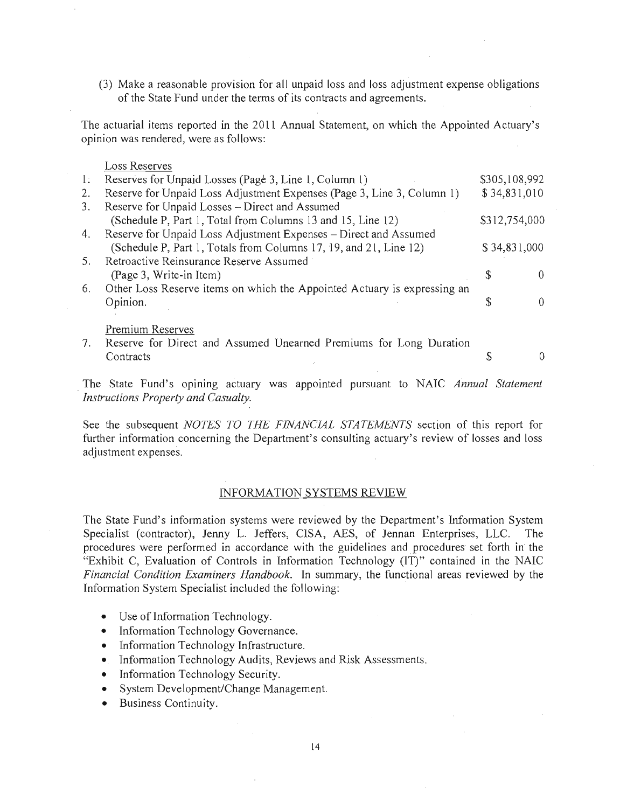(3) Make a reasonable provision for all unpaid loss and loss adjustment expense obligations of the State Fund under the terms of its contracts and agreements.

The actuarial items reported in the 2011 Annual Statement, on which the Appointed Actuary's opinion was rendered, were as follows:

#### Loss Reserves

| $\mathbf{I}$ : | Reserves for Unpaid Losses (Page 3, Line 1, Column 1)                    | \$305,108,992 |  |
|----------------|--------------------------------------------------------------------------|---------------|--|
| 2.             | Reserve for Unpaid Loss Adjustment Expenses (Page 3, Line 3, Column 1)   | \$34,831,010  |  |
| 3.             | Reserve for Unpaid Losses - Direct and Assumed                           |               |  |
|                | (Schedule P, Part 1, Total from Columns 13 and 15, Line 12)              | \$312,754,000 |  |
| 4.             | Reserve for Unpaid Loss Adjustment Expenses - Direct and Assumed         |               |  |
|                | (Schedule P, Part 1, Totals from Columns 17, 19, and 21, Line 12)        | \$34,831,000  |  |
| 5.             | Retroactive Reinsurance Reserve Assumed                                  |               |  |
|                | (Page 3, Write-in Item)                                                  | Φ             |  |
| 6.             | Other Loss Reserve items on which the Appointed Actuary is expressing an |               |  |
|                | Opinion.                                                                 | S             |  |
|                |                                                                          |               |  |
|                | Premium Reserves                                                         |               |  |
| 7.             | Reserve for Direct and Assumed Unearned Premiums for Long Duration       |               |  |
|                | Contracts                                                                |               |  |
|                |                                                                          |               |  |

The State Fund's opining actuary was appointed pursuant to NAIC *Annual Statement Instructions Property and Casualty.* 

See the subsequent *NOTES TO THE FINANCIAL STATEMENTS* section of this report for further information concerning the Department's consulting actuary's review of losses and loss adjustment expenses.

#### INFORMATION SYSTEMS REVIEW

The State Fund's information systems were reviewed by the Department's Information System Specialist (contractor), Jenny L. Jeffers, ClSA, AES, of Jennan Enterprises, LLC. The procedures were performed in accordance with the guidelines and procedures set forth in the "Exhibit C, Evaluation of Controls in Information Technology (IT)" contained in the NAIC *Financial Condition Examiners Handbook.* **In** summary, the functional areas reviewed by the Information System Specialist included the following:

- Use of Information Technology.
- Information Technology Governance.
- Information Technology Infrastructure.
- Information Technology Audits, Reviews and Risk Assessments.
- Information Technology Security.
- System Development/Change Management.
- Business Continuity.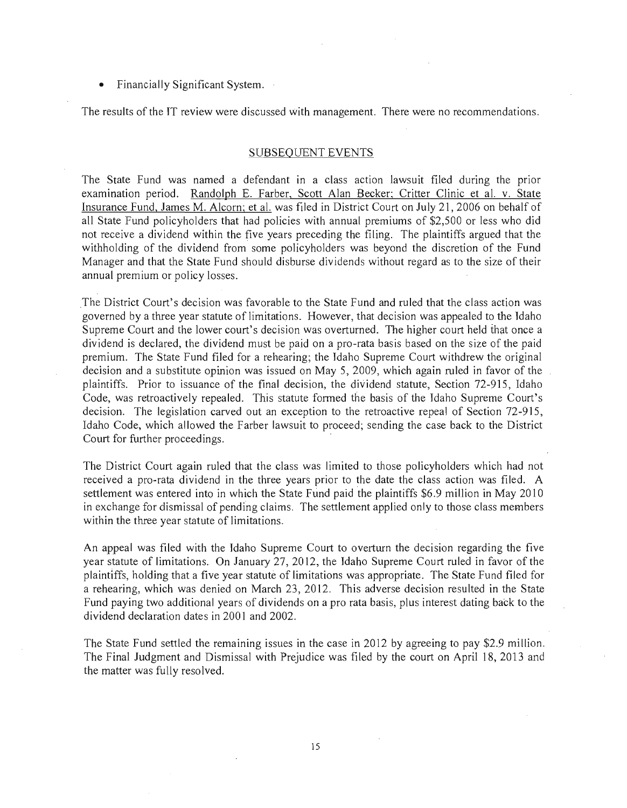• Financially Significant System.

The results of the IT review were discussed with management. There were no recommendations.

#### SUBSEQUENT EVENTS

The State Fund was named a defendant in a class action lawsuit filed during the prior examination period. Randolph E. Farber, Scott Alan Becker; Critter Clinic et al. v. State Insurance Fund, James M. Alcorn; et al. was filed in District Court on July 21,2006 on behalf of all State Fund policyholders that had policies with annual premiums of \$2,500 or less who did not receive a dividend within the five years preceding the filing. The plaintiffs argued that the withholding of the dividend from some policyholders was beyond the discretion of the Fund Manager and that the State Fund should disburse dividends without regard as to the size of their annual premium or policy losses.

The District Court's decision was favorable to the State Fund and ruled that the class action was governed by a three year statute of limitations. However, that decision was appealed to the Idaho Supreme Court and the lower court's decision was overturned. The higher court held that once a dividend is declared, the dividend must be paid on a pro-rata basis based on the size of the paid premium. The State Fund filed for a rehearing; the Idaho Supreme Court withdrew the original decision and a substitute opinion was issued on May 5, 2009, which again ruled in favor of the plaintiffs. Prior to issuance of the final decision, the dividend statute, Section 72-915, Idaho Code, was retroactively repealed. This statute formed the basis of the Idaho Supreme Court's decision. The legislation carved out an exception to the retroactive repeal of Section 72-915, Idaho Code, which allowed the Farber lawsuit to proceed; sending the case back to the District Court for further proceedings.

The District Court again ruled that the class was limited to those policyholders which had not received a pro-rata dividend in the three years prior to the date the class action was filed. A settlement was entered into in which the State Fund paid the plaintiffs \$6.9 million in May 2010 in exchange for dismissal of pending claims. The settlement applied only to those class members within the three year statute of limitations.

An appeal was filed with the Idaho Supreme Court to overturn the decision regarding the five year statute of limitations. On January 27, 2012, the Idaho Supreme Court ruled in favor of the plaintiffs, holding that a five year statute of limitations was appropriate. The State Fund filed for a rehearing, which was denied on March 23, 2012. This adverse decision resulted in the State Fund paying two additional years of dividends on a pro rata basis, plus interest dating back to the dividend declaration dates in 2001 and 2002.

The State Fund settled the remaining issues in the case in 2012 by agreeing to pay \$2.9 million. The Final Judgment and Dismissal with Prejudice was filed by the court on April 18, 2013 and the matter was fully resolved.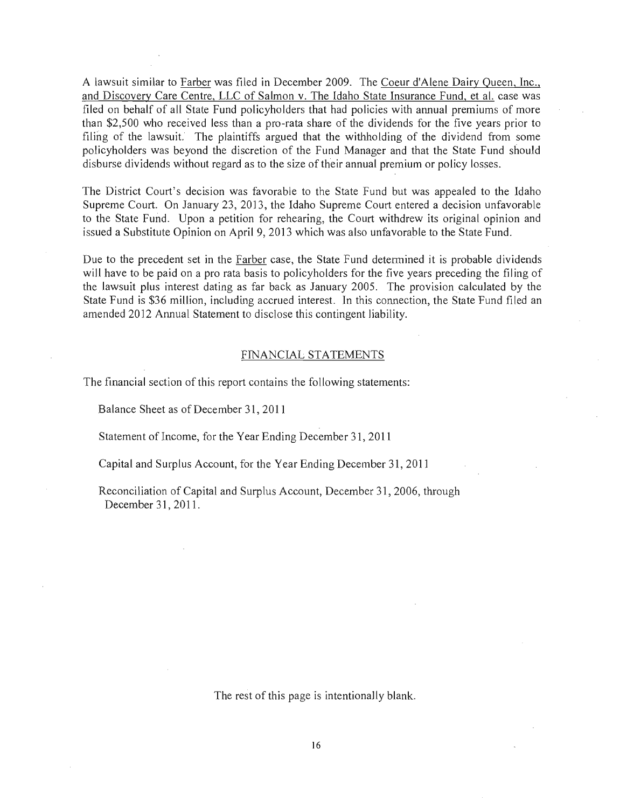A lawsuit similar to Farber was filed in December 2009. The Coeur d'Alene Dairy Queen, Inc., and Discovery Care Centre, LLC of Salmon v. The Idaho State Insurance Fund, et al. case was filed on behalf of all State Fund policyholders that had policies with annual premiums of more than \$2,500 who received less than a pro-rata share of the dividends for the five years prior to filing of the lawsuit. The plaintiffs argued that the withholding of the dividend from some policyholders was beyond the discretion of the Fund Manager and that the State Fund should disburse dividends without regard as to the size of their annual premium or policy losses.

The District Court's decision was favorable to the State Fund but was appealed to the Idaho Supreme Court. On January 23, 2013, the Idaho Supreme Court entered a decision unfavorable to the State Fund. Upon a petition for rehearing, the Court withdrew its original opinion and issued a Substitute Opinion on April 9,2013 which was also unfavorable to the State Fund.

Due to the precedent set in the Farber case, the State Fund detennined it is probable dividends will have to be paid on a pro rata basis to policyholders for the five years preceding the filing of the lawsuit plus interest dating as far back as January 2005. The provision calculated by the State Fund is \$36 million, including accrued interest. In this connection, the State Fund filed an amended 2012 Annual Statement to disclose this contingent liability.

#### FINANCIAL STATEMENTS

The financial section of this report contains the following statements:

Balance Sheet as of December 31, 2011

Statement of Income, for the Year Ending December 31, 2011

Capital and Surplus Account, for the Year Ending December 31, 2011

Reconciliation of Capital and Surplus Account, December 31,2006, through December 31,2011.

The rest of this page is intentionally blank.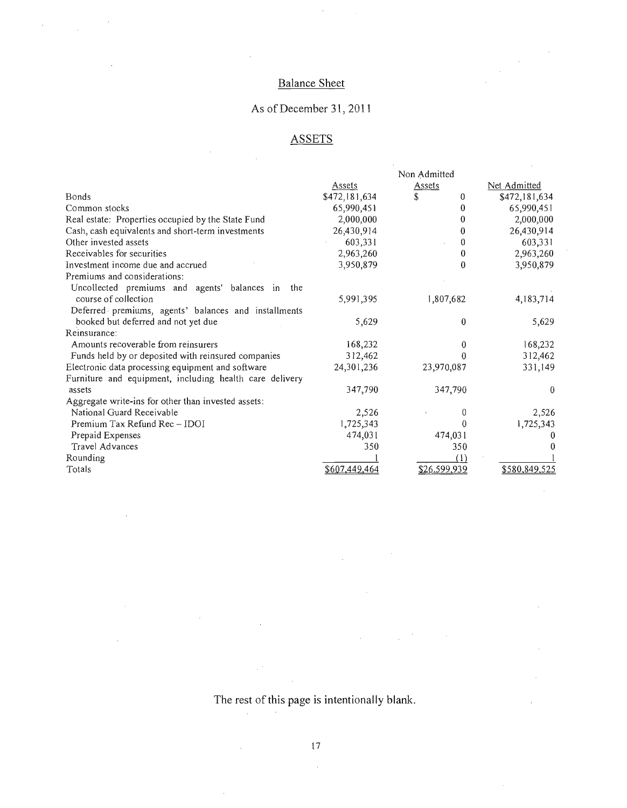### Balance Sheet

 $\hat{\mathcal{A}}$ 

 $\hat{\mathcal{A}}$ 

 $\hat{\boldsymbol{\beta}}$ 

 $\ddot{\phantom{0}}$ 

 $\sim$ 

 $\sim$  $\hat{\mathcal{A}}$ 

à,

Ŷ,

### As of December 31,2011

### **ASSETS**

|                                                         |               | Non Admitted |                       |
|---------------------------------------------------------|---------------|--------------|-----------------------|
|                                                         | Assets        | Assets       | Net Admitted          |
| <b>Bonds</b>                                            | \$472,181,634 | \$.<br>0     | \$472,181,634         |
| Common stocks                                           | 65,990,451    | 0            | 65,990,451            |
| Real estate: Properties occupied by the State Fund      | 2,000,000     | 0            | 2,000,000             |
| Cash, cash equivalents and short-term investments       | 26,430,914    | 0            | 26,430,914            |
| Other invested assets                                   | 603,331       | 0            | 603,331               |
| Receivables for securities                              | 2,963,260     | 0            | 2,963,260             |
| Investment income due and accrued                       | 3,950,879     | $\bf{0}$     | 3,950,879             |
| Premiums and considerations:                            |               |              |                       |
| Uncollected premiums and agents' balances in<br>the     |               |              |                       |
| course of collection                                    | 5,991,395     | 1,807,682    | 4, 183, 714           |
| Deferred premiums, agents' balances and installments    |               |              |                       |
| booked but deferred and not yet due                     | 5,629         | $\bf{0}$     | 5,629                 |
| Reinsurance:                                            |               |              |                       |
| Amounts recoverable from reinsurers                     | 168,232       | 0            | 168,232               |
| Funds held by or deposited with reinsured companies     | 312,462       |              | 312,462<br>0          |
| Electronic data processing equipment and software       | 24, 301, 236  | 23,970,087   | 331,149               |
| Furniture and equipment, including health care delivery |               |              |                       |
| assets                                                  | 347,790       | 347,790      | $\theta$              |
| Aggregate write-ins for other than invested assets:     |               |              |                       |
| National Guard Receivable                               | 2,526         |              | 0<br>2,526            |
| Premium Tax Refund Rec-IDOI                             | 1,725,343     |              | 1,725,343<br>$\theta$ |
| Prepaid Expenses                                        | 474,031       | 474,031      | 0                     |
| Travel Advances                                         | 350           | 350          |                       |
| Rounding                                                |               | (1)          |                       |
| Totals                                                  | \$607,449,464 | \$26,599,939 | \$580,849,525         |

The rest of this page is intentionally blank.

 $\mathbb{R}^4$ 

 $\sim 0.1$ 

 $\sim 10^{11}$ 

 $\hat{\mathcal{L}}$ 

 $\hat{\boldsymbol{\epsilon}}$ 

 $\hat{\mathcal{A}}$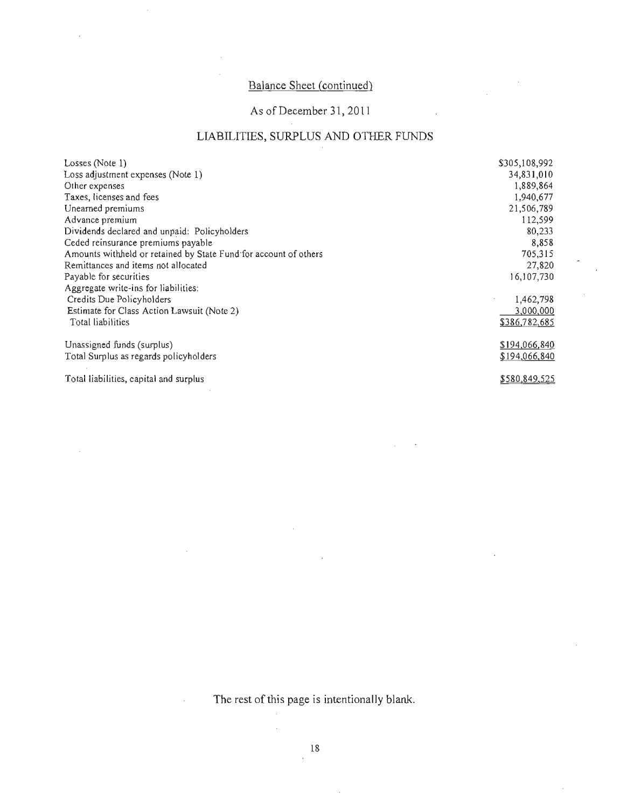### Balance Sheet (continued)

### As of December 31, 2011

### LIABILITIES, SURPLUS AND OTHER FUNDS

| Losses (Note 1)                                                  | \$305,108,992         |
|------------------------------------------------------------------|-----------------------|
| Loss adjustment expenses (Note 1)                                | 34,831,010            |
| Other expenses                                                   | 1,889,864             |
| Taxes, licenses and fees                                         | 1,940,677             |
| Unearned premiums                                                | 21,506,789            |
| Advance premium                                                  | 112,599               |
| Dividends declared and unpaid: Policyholders                     | 80,233                |
| Ceded reinsurance premiums payable                               | 8,858                 |
| Amounts withheld or retained by State Fund for account of others | 705,315               |
| Remittances and items not allocated                              | 27,820                |
| Payable for securities                                           | 16,107,730            |
| Aggregate write-ins for liabilities:                             |                       |
| Credits Due Policyholders                                        | 1,462,798             |
| Estimate for Class Action Lawsuit (Note 2)                       | 3,000,000             |
| Total liabilities                                                | \$386,782,685         |
| Unassigned funds (surplus)                                       | <u>\$194,066,840</u>  |
| Total Surplus as regards policyholders                           | \$194,066,840         |
| Total liabilities, capital and surplus                           | \$ <u>580,849,525</u> |

The rest of this page is intentionally blank.

l,

 $\hat{\boldsymbol{\beta}}$ 

18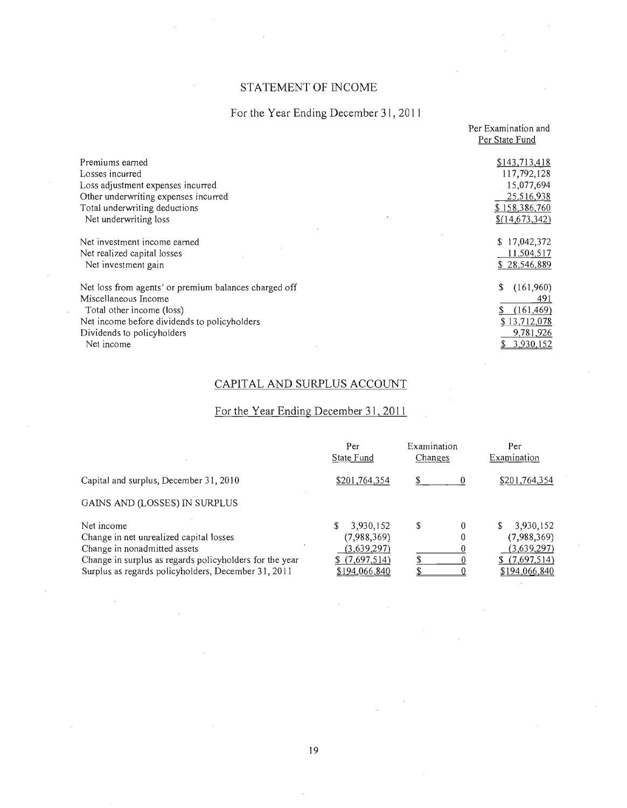### STATEMENT OF INCOME

### For the Year Ending December 31, 2011

|                                                       | Per Examination and |
|-------------------------------------------------------|---------------------|
|                                                       | Per State Fund      |
|                                                       |                     |
| Premiums earned                                       | \$143,713,418       |
| Losses incurred                                       | 117,792,128         |
| Loss adjustment expenses incurred                     | 15,077,694          |
| Other underwriting expenses incurred                  | 25,516,938          |
| Total underwriting deductions                         | \$158,386,760       |
| Net underwriting loss                                 | \$(14,673,342)      |
|                                                       |                     |
| Net investment income earned                          | \$17,042,372        |
| Net realized capital losses                           | 11,504,517          |
| Net investment gain                                   | \$28,546,889        |
|                                                       |                     |
| Net loss from agents' or premium balances charged off | \$<br>(161,960)     |
| Miscellaneous Income                                  | 491                 |
| Total other income (loss)                             | (161, 469)<br>\$    |
| Net income before dividends to policyholders          | \$13,712,078        |
| Dividends to policyholders                            | 9,781,926           |
| Net income                                            | 3,930,152           |

### CAPITAL AND SURPLUS ACCOUNT

### For the Year Ending December 31,2011

|                                                                                                                                                                                                         | Per<br>State Fund                                                              | Examination<br>Changes | Per<br>Examination                                                             |
|---------------------------------------------------------------------------------------------------------------------------------------------------------------------------------------------------------|--------------------------------------------------------------------------------|------------------------|--------------------------------------------------------------------------------|
| Capital and surplus, December 31, 2010                                                                                                                                                                  | \$201,764,354                                                                  | \$                     | \$201,764,354                                                                  |
| GAINS AND (LOSSES) IN SURPLUS                                                                                                                                                                           |                                                                                |                        |                                                                                |
| Net income<br>Change in net unrealized capital losses<br>Change in nonadmitted assets<br>Change in surplus as regards policyholders for the year<br>Surplus as regards policyholders, December 31, 2011 | 3,930,152<br>S<br>(7,988,369)<br>(3,639,297)<br>\$(7,697,514)<br>\$194,066,840 | S<br>$\theta$          | 3,930,152<br>S<br>(7,988,369)<br>(3,639,297)<br>\$(7,697,514)<br>\$194,066,840 |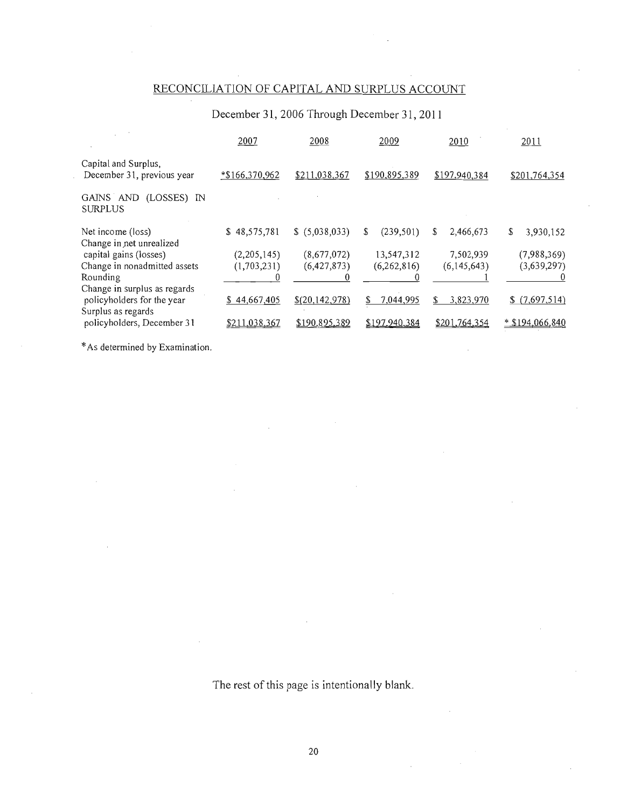### RECONCILIATION OF CAPITAL AND SURPLUS ACCOUNT

### December 31, 2006 Through December 31, **2011**

|                                                                                  | 2007           | 2008           | 2009            | 2010            | 2011              |
|----------------------------------------------------------------------------------|----------------|----------------|-----------------|-----------------|-------------------|
| Capital and Surplus,<br>December 31, previous year                               | $*166,370,962$ | \$211,038,367  | \$190,895,389   | \$197,940,384   | \$201,764,354     |
| GAINS AND (LOSSES) IN<br><b>SURPLUS</b>                                          |                |                |                 |                 |                   |
| Net income (loss)<br>Change in net unrealized                                    | \$48,575,781   | \$(5,038,033)  | S<br>(239, 501) | S<br>2,466,673  | 3,930,152<br>\$   |
| capital gains (losses)                                                           | (2,205,145)    | (8,677,072)    | 13,547,312      | 7,502,939       | (7,988,369)       |
| Change in nonadmitted assets                                                     | (1,703,231)    | (6,427,873)    | (6,262,816)     | (6,145,643)     | (3,639,297)       |
| Rounding                                                                         |                |                |                 |                 |                   |
| Change in surplus as regards<br>policyholders for the year<br>Surplus as regards | \$44,667,405   | \$(20,142,978) | \$<br>7,044,995 | \$<br>3,823,970 | \$(7,697,514)     |
| policyholders, December 31                                                       | \$211,038,367  | \$190.895,389  | \$197,940,384   | \$201,764,354   | $*$ \$194,066,840 |
|                                                                                  |                |                |                 |                 |                   |

\* As determined by Examination.

The rest of this page is intentionally blank.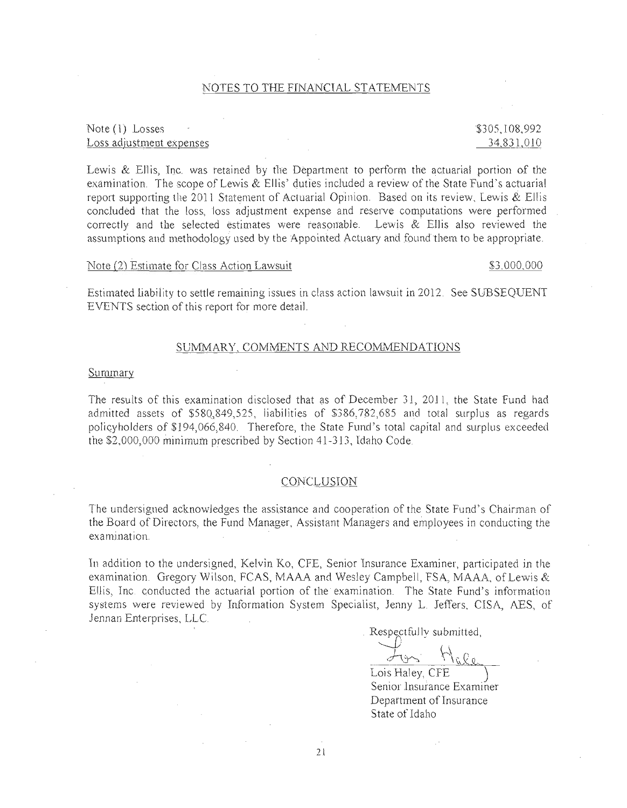#### NOTES TO THE FINANCIAL STATEMENTS

#### Note (1) Losses Loss adjustment expenses

### \$305,108,992 34,831,010

Lewis & Ellis, Inc. was retained by the Department to perform the actuarial portion of the examination. The scope of Lewis & Ellis' duties included a review of the State Fund's actuarial report supporting the 2011 Statement of Actuarial Opinion. Based on its review, Lewis & Ellis concluded that the loss, loss adjustment expense and reserve computations were performed correctly and the selected estimates were reasonable. Lewis & Ellis also revievved the assumptions and methodology used by the Appointed Actuary and found them to be appropriate.

#### Note (2) Estimate for Class Action Lawsuit  $$3.000,000$

Estimated liability to settle remaining issues in class action lawsuit in 2012. See SUBSEQUENT EVENTS section of this report for more detail.

#### SUMMARY, COMMENTS AND RECOMMENDATIONS

#### **Summary**

The results of this examination disclosed that as of December 31, 2011, the State Fund had admitted assets of  $$580,849,525$ , liabilities of  $$386,782,685$  and total surplus as regards policyholders of \$194,066,840. Therefore, the State Fund's total capital and surplus exceeded the \$2,000,000 minimum prescribed by Section 41-313, Idaho Code

#### CONCLUSION

The undersigned acknowledges the assistance and cooperation of the State Fund's Chairman of the Board of Directors, the Fund Manager, Assistant Managers and employees in conducting the examinatjon.

In addition to the undersigned, Kelvin Ko, CFE, Senior Insurance Examjner, participated jn the examination. Gregory Wilson, FCAS, MAAA and Wesley Campbell, FSA, MAAA, of Lewis & Ellis, Inc. conducted the actuarial portion of the examination. The State Fund's information systems were review-ed by Information System Specialist, Jenny L. Jeffers, CISA, AES, of Jennan Enterprises, LLC

Respectfully submitted,

For Male

Lois Haley, CFE ) Senior Insurance Examiner Department of Insurance State of Idaho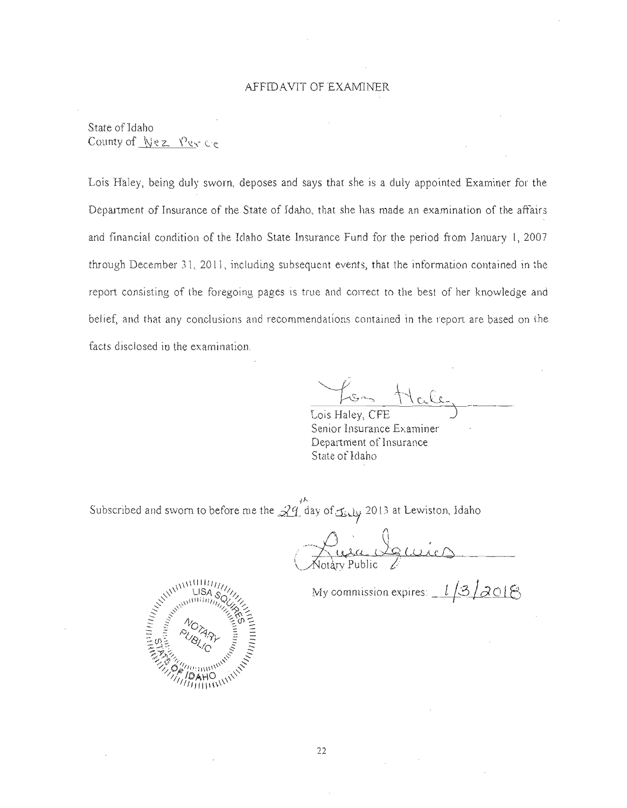#### AFFID AVIT OF EXAMINER

State of Idaho County of  $Nez - Yez - ce$ 

Lois Ha1ey, being duly sworn, deposes and says that she is a duly appointed Examiner for the Department of Insurance of the State of Idaho, that she has made an examination of the affairs and financial condition of the Idaho State Insurance Fund for the period from January 1, 2007 through December 31, 2011, including subsequent events, that the information contained in the report consisting of the foregoing pages is true and correct to the best of her knowledge and belief, and that any conclusions and recommendations contained in the report are based on the facts disclosed in the examination.

~. .~\_.~\ *,r:*  $k_{\rm r}$  .

Lois Haley, CFE Senior Insurance Examiner Department of Insurance State of Idaho

Subscribed and sworn to before me the  $\mathcal{L}^{\prime\prime}$  day of  $\mathcal{L}$ ,  $\mathcal{L}$  2013 at Lewiston, Idaho

 $\bigcirc$   $\qquad$ Chien de cuirs

My commission expires:  $1/3/2018$